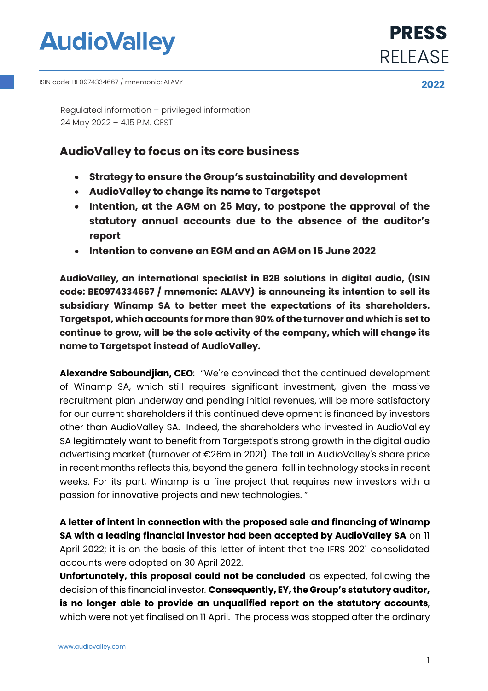

**2022** ISIN code: BE0974334667 / mnemonic: ALAVY

Regulated information – privileged information 24 May 2022 – 4.15 P.M. CEST

# **AudioValley to focus on its core business**

- **Strategy to ensure the Group's sustainability and development**
- **AudioValley to change its name to Targetspot**
- **Intention, at the AGM on 25 May, to postpone the approval of the statutory annual accounts due to the absence of the auditor's report**
- **Intention to convene an EGM and an AGM on 15 June 2022**

**AudioValley, an international specialist in B2B solutions in digital audio, (ISIN code: BE0974334667 / mnemonic: ALAVY) is announcing its intention to sell its subsidiary Winamp SA to better meet the expectations of its shareholders. Targetspot, which accounts for more than 90% of the turnover and which is set to continue to grow, will be the sole activity of the company, which will change its name to Targetspot instead of AudioValley.** 

**Alexandre Saboundjian, CEO**: "We're convinced that the continued development of Winamp SA, which still requires significant investment, given the massive recruitment plan underway and pending initial revenues, will be more satisfactory for our current shareholders if this continued development is financed by investors other than AudioValley SA. Indeed, the shareholders who invested in AudioValley SA legitimately want to benefit from Targetspot's strong growth in the digital audio advertising market (turnover of €26m in 2021). The fall in AudioValley's share price in recent months reflects this, beyond the general fall in technology stocks in recent weeks. For its part, Winamp is a fine project that requires new investors with a passion for innovative projects and new technologies. "

**A letter of intent in connection with the proposed sale and financing of Winamp SA with a leading financial investor had been accepted by AudioValley SA** on 11 April 2022; it is on the basis of this letter of intent that the IFRS 2021 consolidated accounts were adopted on 30 April 2022.

**Unfortunately, this proposal could not be concluded** as expected, following the decision of this financial investor*.* **Consequently, EY, the Group's statutory auditor, is no longer able to provide an unqualified report on the statutory accounts**, which were not yet finalised on 11 April. The process was stopped after the ordinary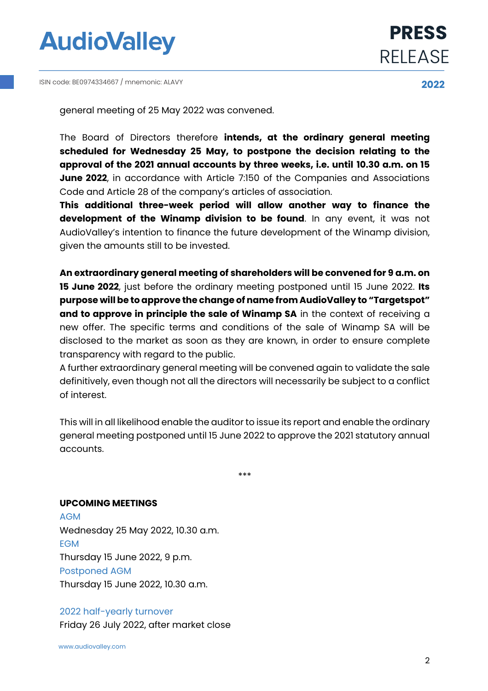

**2022** ISIN code: BE0974334667 / mnemonic: ALAVY



general meeting of 25 May 2022 was convened.

The Board of Directors therefore **intends, at the ordinary general meeting scheduled for Wednesday 25 May, to postpone the decision relating to the approval of the 2021 annual accounts by three weeks, i.e. until 10.30 a.m. on 15 June 2022**, in accordance with Article 7:150 of the Companies and Associations Code and Article 28 of the company's articles of association.

**This additional three-week period will allow another way to finance the development of the Winamp division to be found**. In any event, it was not AudioValley's intention to finance the future development of the Winamp division, given the amounts still to be invested.

**An extraordinary general meeting of shareholders will be convened for 9 a.m. on 15 June 2022**, just before the ordinary meeting postponed until 15 June 2022. **Its purpose will be to approve the change of name from AudioValley to "Targetspot" and to approve in principle the sale of Winamp SA** in the context of receiving a new offer. The specific terms and conditions of the sale of Winamp SA will be disclosed to the market as soon as they are known, in order to ensure complete transparency with regard to the public.

A further extraordinary general meeting will be convened again to validate the sale definitively, even though not all the directors will necessarily be subject to a conflict of interest.

This will in all likelihood enable the auditor to issue its report and enable the ordinary general meeting postponed until 15 June 2022 to approve the 2021 statutory annual accounts.

\*\*\*

### **UPCOMING MEETINGS**

AGM Wednesday 25 May 2022, 10.30 a.m. EGM Thursday 15 June 2022, 9 p.m. Postponed AGM Thursday 15 June 2022, 10.30 a.m.

### 2022 half-yearly turnover

Friday 26 July 2022, after market close